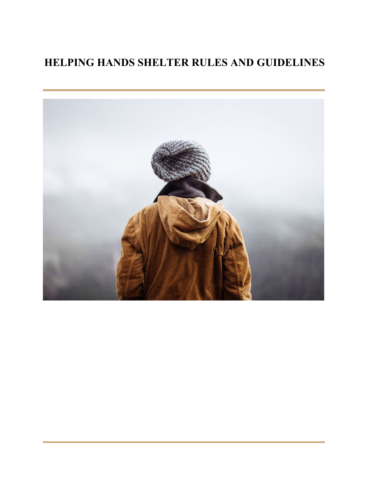# **HELPING HANDS SHELTER RULES AND GUIDELINES**

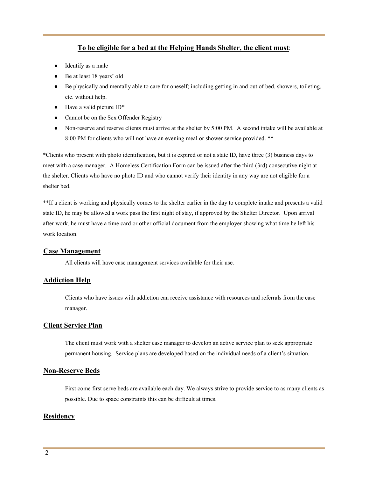## **To be eligible for a bed at the Helping Hands Shelter, the client must**:

- Identify as a male
- Be at least 18 years' old
- Be physically and mentally able to care for oneself; including getting in and out of bed, showers, toileting, etc. without help.
- $\bullet$  Have a valid picture ID\*
- Cannot be on the Sex Offender Registry
- Non-reserve and reserve clients must arrive at the shelter by 5:00 PM. A second intake will be available at 8:00 PM for clients who will not have an evening meal or shower service provided. \*\*

\*Clients who present with photo identification, but it is expired or not a state ID, have three (3) business days to meet with a case manager. A Homeless Certification Form can be issued after the third (3rd) consecutive night at the shelter. Clients who have no photo ID and who cannot verify their identity in any way are not eligible for a shelter bed.

\*\*If a client is working and physically comes to the shelter earlier in the day to complete intake and presents a valid state ID, he may be allowed a work pass the first night of stay, if approved by the Shelter Director. Upon arrival after work, he must have a time card or other official document from the employer showing what time he left his work location.

#### **Case Management**

All clients will have case management services available for their use.

#### **Addiction Help**

Clients who have issues with addiction can receive assistance with resources and referrals from the case manager.

#### **Client Service Plan**

The client must work with a shelter case manager to develop an active service plan to seek appropriate permanent housing. Service plans are developed based on the individual needs of a client's situation.

#### **Non-Reserve Beds**

First come first serve beds are available each day. We always strive to provide service to as many clients as possible. Due to space constraints this can be difficult at times.

## **Residency**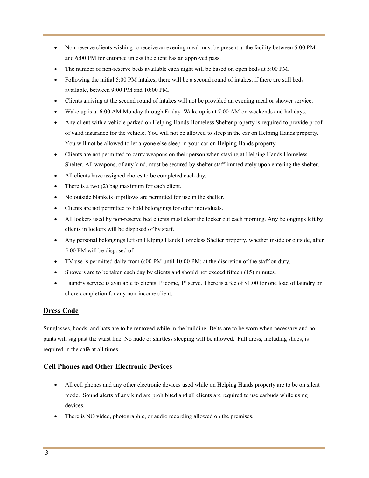- Non-reserve clients wishing to receive an evening meal must be present at the facility between 5:00 PM and 6:00 PM for entrance unless the client has an approved pass.
- The number of non-reserve beds available each night will be based on open beds at 5:00 PM.
- Following the initial 5:00 PM intakes, there will be a second round of intakes, if there are still beds available, between 9:00 PM and 10:00 PM.
- Clients arriving at the second round of intakes will not be provided an evening meal or shower service.
- Wake up is at 6:00 AM Monday through Friday. Wake up is at 7:00 AM on weekends and holidays.
- Any client with a vehicle parked on Helping Hands Homeless Shelter property is required to provide proof of valid insurance for the vehicle. You will not be allowed to sleep in the car on Helping Hands property. You will not be allowed to let anyone else sleep in your car on Helping Hands property.
- Clients are not permitted to carry weapons on their person when staying at Helping Hands Homeless Shelter. All weapons, of any kind, must be secured by shelter staff immediately upon entering the shelter.
- All clients have assigned chores to be completed each day.
- There is a two  $(2)$  bag maximum for each client.
- No outside blankets or pillows are permitted for use in the shelter.
- Clients are not permitted to hold belongings for other individuals.
- All lockers used by non-reserve bed clients must clear the locker out each morning. Any belongings left by clients in lockers will be disposed of by staff.
- Any personal belongings left on Helping Hands Homeless Shelter property, whether inside or outside, after 5:00 PM will be disposed of.
- TV use is permitted daily from 6:00 PM until 10:00 PM; at the discretion of the staff on duty.
- Showers are to be taken each day by clients and should not exceed fifteen (15) minutes.
- Laundry service is available to clients  $1<sup>st</sup>$  come,  $1<sup>st</sup>$  serve. There is a fee of \$1.00 for one load of laundry or chore completion for any non-income client.

# **Dress Code**

Sunglasses, hoods, and hats are to be removed while in the building. Belts are to be worn when necessary and no pants will sag past the waist line. No nude or shirtless sleeping will be allowed. Full dress, including shoes, is required in the café at all times.

# **Cell Phones and Other Electronic Devices**

- All cell phones and any other electronic devices used while on Helping Hands property are to be on silent mode. Sound alerts of any kind are prohibited and all clients are required to use earbuds while using devices.
- There is NO video, photographic, or audio recording allowed on the premises.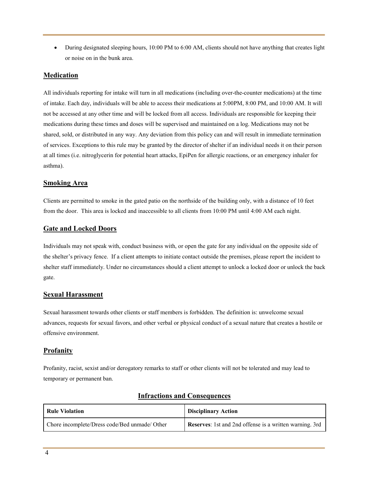• During designated sleeping hours, 10:00 PM to 6:00 AM, clients should not have anything that creates light or noise on in the bunk area.

## **Medication**

All individuals reporting for intake will turn in all medications (including over-the-counter medications) at the time of intake. Each day, individuals will be able to access their medications at 5:00PM, 8:00 PM, and 10:00 AM. It will not be accessed at any other time and will be locked from all access. Individuals are responsible for keeping their medications during these times and doses will be supervised and maintained on a log. Medications may not be shared, sold, or distributed in any way. Any deviation from this policy can and will result in immediate termination of services. Exceptions to this rule may be granted by the director of shelter if an individual needs it on their person at all times (i.e. nitroglycerin for potential heart attacks, EpiPen for allergic reactions, or an emergency inhaler for asthma).

#### **Smoking Area**

Clients are permitted to smoke in the gated patio on the northside of the building only, with a distance of 10 feet from the door. This area is locked and inaccessible to all clients from 10:00 PM until 4:00 AM each night.

## **Gate and Locked Doors**

Individuals may not speak with, conduct business with, or open the gate for any individual on the opposite side of the shelter's privacy fence. If a client attempts to initiate contact outside the premises, please report the incident to shelter staff immediately. Under no circumstances should a client attempt to unlock a locked door or unlock the back gate.

#### **Sexual Harassment**

Sexual harassment towards other clients or staff members is forbidden. The definition is: unwelcome sexual advances, requests for sexual favors, and other verbal or physical conduct of a sexual nature that creates a hostile or offensive environment.

## **Profanity**

Profanity, racist, sexist and/or derogatory remarks to staff or other clients will not be tolerated and may lead to temporary or permanent ban.

| <b>Rule Violation</b>                         | <b>Disciplinary Action</b>                              |
|-----------------------------------------------|---------------------------------------------------------|
| Chore incomplete/Dress code/Bed unmade/ Other | Reserves: 1st and 2nd offense is a written warning. 3rd |

## **Infractions and Consequences**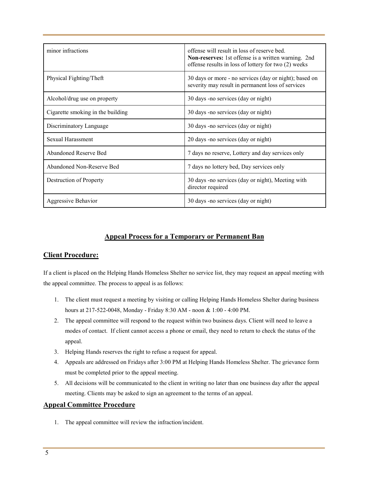| minor infractions                 | offense will result in loss of reserve bed.<br><b>Non-reserves:</b> 1st offense is a written warning. 2nd<br>offense results in loss of lottery for two (2) weeks |
|-----------------------------------|-------------------------------------------------------------------------------------------------------------------------------------------------------------------|
| Physical Fighting/Theft           | 30 days or more - no services (day or night); based on<br>severity may result in permanent loss of services                                                       |
| Alcohol/drug use on property      | 30 days -no services (day or night)                                                                                                                               |
| Cigarette smoking in the building | 30 days -no services (day or night)                                                                                                                               |
| Discriminatory Language           | 30 days -no services (day or night)                                                                                                                               |
| Sexual Harassment                 | 20 days -no services (day or night)                                                                                                                               |
| Abandoned Reserve Bed             | 7 days no reserve, Lottery and day services only                                                                                                                  |
| Abandoned Non-Reserve Bed         | 7 days no lottery bed, Day services only                                                                                                                          |
| Destruction of Property           | 30 days -no services (day or night), Meeting with<br>director required                                                                                            |
| Aggressive Behavior               | 30 days -no services (day or night)                                                                                                                               |

# **Appeal Process for a Temporary or Permanent Ban**

# **Client Procedure:**

If a client is placed on the Helping Hands Homeless Shelter no service list, they may request an appeal meeting with the appeal committee. The process to appeal is as follows:

- 1. The client must request a meeting by visiting or calling Helping Hands Homeless Shelter during business hours at 217-522-0048, Monday - Friday 8:30 AM - noon & 1:00 - 4:00 PM.
- 2. The appeal committee will respond to the request within two business days. Client will need to leave a modes of contact. If client cannot access a phone or email, they need to return to check the status of the appeal.
- 3. Helping Hands reserves the right to refuse a request for appeal.
- 4. Appeals are addressed on Fridays after 3:00 PM at Helping Hands Homeless Shelter. The grievance form must be completed prior to the appeal meeting.
- 5. All decisions will be communicated to the client in writing no later than one business day after the appeal meeting. Clients may be asked to sign an agreement to the terms of an appeal.

## **Appeal Committee Procedure**

1. The appeal committee will review the infraction/incident.